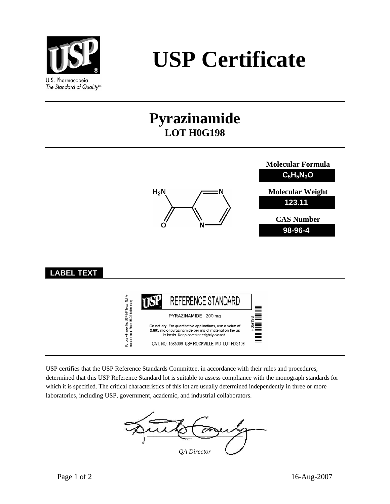

# **USP Certificate**

## **Pyrazinamide LOT H0G198**



USP certifies that the USP Reference Standards Committee, in accordance with their rules and procedures, determined that this USP Reference Standard lot is suitable to assess compliance with the monograph standards for which it is specified. The critical characteristics of this lot are usually determined independently in three or more laboratories, including USP, government, academic, and industrial collaborators.